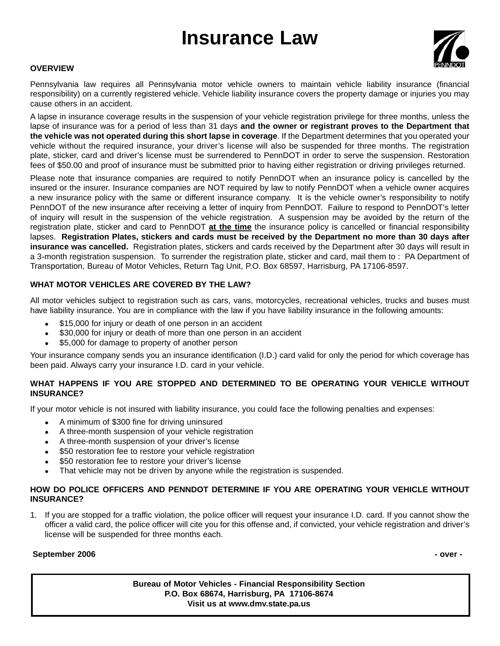# **Insurance Law**



## **OVERVIEW**

Pennsylvania law requires all Pennsylvania motor vehicle owners to maintain vehicle liability insurance (financial responsibility) on a currently registered vehicle. Vehicle liability insurance covers the property damage or injuries you may cause others in an accident.

A lapse in insurance coverage results in the suspension of your vehicle registration privilege for three months, unless the lapse of insurance was for a period of less than 31 days **and the owner or registrant proves to the Department that the vehicle was not operated during this short lapse in coverage**. If the Department determines that you operated your vehicle without the required insurance, your driver's license will also be suspended for three months. The registration plate, sticker, card and driver's license must be surrendered to PennDOT in order to serve the suspension. Restoration fees of \$50.00 and proof of insurance must be submitted prior to having either registration or driving privileges returned.

Please note that insurance companies are required to notify PennDOT when an insurance policy is cancelled by the insured or the insurer. Insurance companies are NOT required by law to notify PennDOT when a vehicle owner acquires a new insurance policy with the same or different insurance company. It is the vehicle owner's responsibility to notify PennDOT of the new insurance after receiving a letter of inquiry from PennDOT. Failure to respond to PennDOT's letter of inquiry will result in the suspension of the vehicle registration. A suspension may be avoided by the return of the registration plate, sticker and card to PennDOT **at the time** the insurance policy is cancelled or financial responsibility lapses. **Registration Plates, stickers and cards must be received by the Department no more than 30 days after insurance was cancelled.** Registration plates, stickers and cards received by the Department after 30 days will result in a 3-month registration suspension. To surrender the registration plate, sticker and card, mail them to : PA Department of Transportation, Bureau of Motor Vehicles, Return Tag Unit, P.O. Box 68597, Harrisburg, PA 17106-8597.

## **WHAT MOTOR VEHICLES ARE COVERED BY THE LAW?**

All motor vehicles subject to registration such as cars, vans, motorcycles, recreational vehicles, trucks and buses must have liability insurance. You are in compliance with the law if you have liability insurance in the following amounts:

- \$15,000 for injury or death of one person in an accident
- \$30,000 for injury or death of more than one person in an accident
- \$5,000 for damage to property of another person

Your insurance company sends you an insurance identification (I.D.) card valid for only the period for which coverage has been paid. Always carry your insurance I.D. card in your vehicle.

## **WHAT HAPPENS IF YOU ARE STOPPED AND DETERMINED TO BE OPERATING YOUR VEHICLE WITHOUT INSURANCE?**

If your motor vehicle is not insured with liability insurance, you could face the following penalties and expenses:

- A minimum of \$300 fine for driving uninsured
- A three-month suspension of your vehicle registration
- A three-month suspension of your driver's license
- \$50 restoration fee to restore your vehicle registration
- \$50 restoration fee to restore your driver's license
- That vehicle may not be driven by anyone while the registration is suspended.

## **HOW DO POLICE OFFICERS AND PENNDOT DETERMINE IF YOU ARE OPERATING YOUR VEHICLE WITHOUT INSURANCE?**

1. If you are stopped for a traffic violation, the police officer will request your insurance I.D. card. If you cannot show the officer a valid card, the police officer will cite you for this offense and, if convicted, your vehicle registration and driver's license will be suspended for three months each.

#### **September 2006 - over -**

**Bureau of Motor Vehicles - Financial Responsibility Section P.O. Box 68674, Harrisburg, PA 17106-8674 Visit us at www.dmv.state.pa.us**